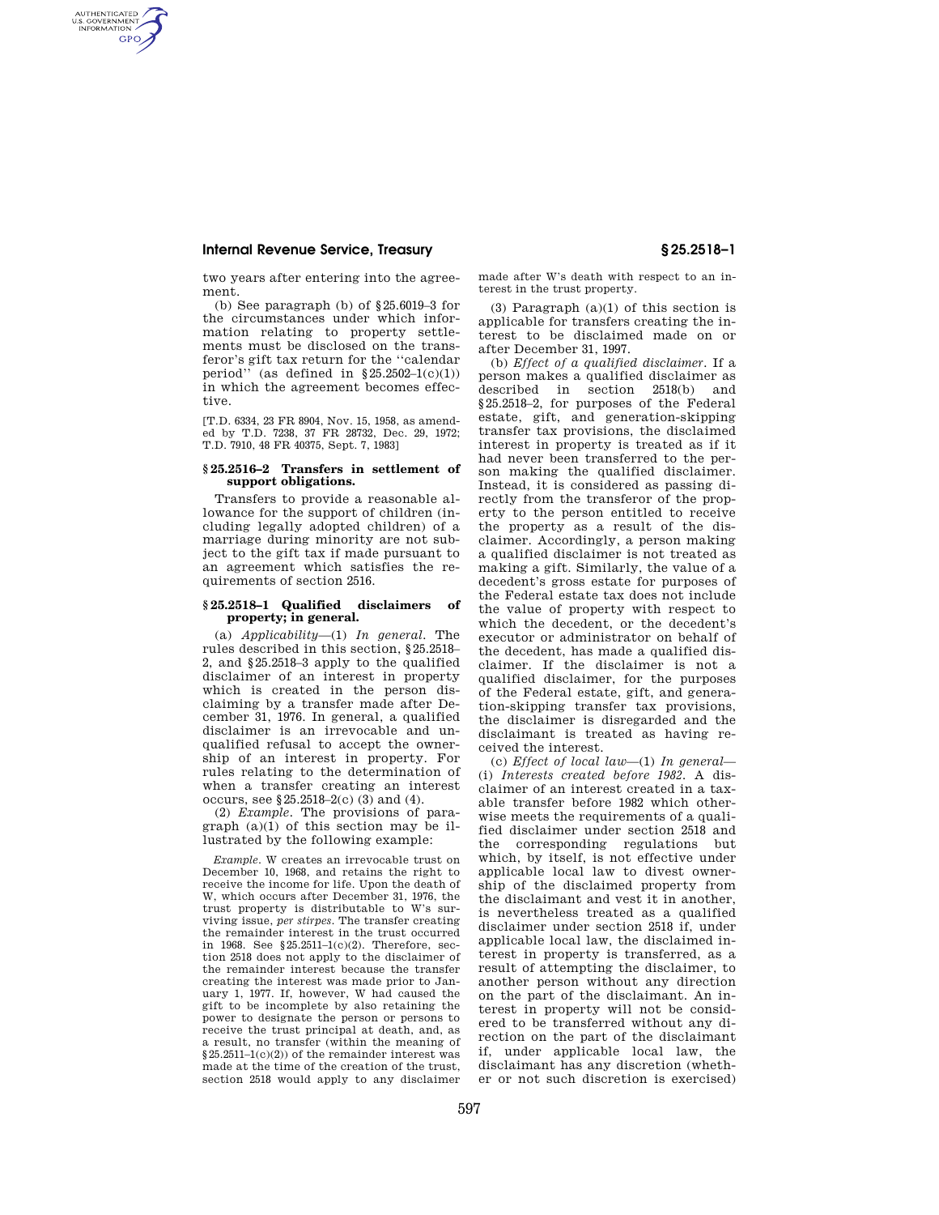## **Internal Revenue Service, Treasury § 25.2518–1**

AUTHENTICATED<br>U.S. GOVERNMENT<br>INFORMATION **GPO** 

> two years after entering into the agreement.

> (b) See paragraph (b) of §25.6019–3 for the circumstances under which information relating to property settlements must be disclosed on the transferor's gift tax return for the "calendar<br>period" (as defined in  $\S 25.2502 - 1(c)(1)$ ) (as defined in  $$25.2502-1(c)(1))$ in which the agreement becomes effective.

> [T.D. 6334, 23 FR 8904, Nov. 15, 1958, as amended by T.D. 7238, 37 FR 28732, Dec. 29, 1972; T.D. 7910, 48 FR 40375, Sept. 7, 1983]

## **§ 25.2516–2 Transfers in settlement of support obligations.**

Transfers to provide a reasonable allowance for the support of children (including legally adopted children) of a marriage during minority are not subject to the gift tax if made pursuant to an agreement which satisfies the requirements of section 2516.

## **§ 25.2518–1 Qualified disclaimers of property; in general.**

(a) *Applicability*—(1) *In general.* The rules described in this section, §25.2518– 2, and §25.2518–3 apply to the qualified disclaimer of an interest in property which is created in the person disclaiming by a transfer made after December 31, 1976. In general, a qualified disclaimer is an irrevocable and unqualified refusal to accept the ownership of an interest in property. For rules relating to the determination of when a transfer creating an interest occurs, see §25.2518–2(c) (3) and (4).

(2) *Example.* The provisions of paragraph  $(a)(1)$  of this section may be illustrated by the following example:

*Example.* W creates an irrevocable trust on December 10, 1968, and retains the right to receive the income for life. Upon the death of W, which occurs after December 31, 1976, the trust property is distributable to W's surviving issue, *per stirpes.* The transfer creating the remainder interest in the trust occurred in 1968. See §25.2511–1(c)(2). Therefore, section 2518 does not apply to the disclaimer of the remainder interest because the transfer creating the interest was made prior to January 1, 1977. If, however, W had caused the gift to be incomplete by also retaining the power to designate the person or persons to receive the trust principal at death, and, as a result, no transfer (within the meaning of  $$25.2511-1(c)(2))$  of the remainder interest was made at the time of the creation of the trust, section 2518 would apply to any disclaimer made after W's death with respect to an interest in the trust property.

(3) Paragraph  $(a)(1)$  of this section is applicable for transfers creating the interest to be disclaimed made on or after December 31, 1997.

(b) *Effect of a qualified disclaimer.* If a person makes a qualified disclaimer as described in section 2518(b) and §25.2518–2, for purposes of the Federal estate, gift, and generation-skipping transfer tax provisions, the disclaimed interest in property is treated as if it had never been transferred to the person making the qualified disclaimer. Instead, it is considered as passing directly from the transferor of the property to the person entitled to receive the property as a result of the disclaimer. Accordingly, a person making a qualified disclaimer is not treated as making a gift. Similarly, the value of a decedent's gross estate for purposes of the Federal estate tax does not include the value of property with respect to which the decedent, or the decedent's executor or administrator on behalf of the decedent, has made a qualified disclaimer. If the disclaimer is not a qualified disclaimer, for the purposes of the Federal estate, gift, and generation-skipping transfer tax provisions, the disclaimer is disregarded and the disclaimant is treated as having received the interest.

(c) *Effect of local law*—(1) *In general*— (i) *Interests created before 1982.* A disclaimer of an interest created in a taxable transfer before 1982 which otherwise meets the requirements of a qualified disclaimer under section 2518 and the corresponding regulations but which, by itself, is not effective under applicable local law to divest ownership of the disclaimed property from the disclaimant and vest it in another, is nevertheless treated as a qualified disclaimer under section 2518 if, under applicable local law, the disclaimed interest in property is transferred, as a result of attempting the disclaimer, to another person without any direction on the part of the disclaimant. An interest in property will not be considered to be transferred without any direction on the part of the disclaimant if, under applicable local law, the disclaimant has any discretion (whether or not such discretion is exercised)